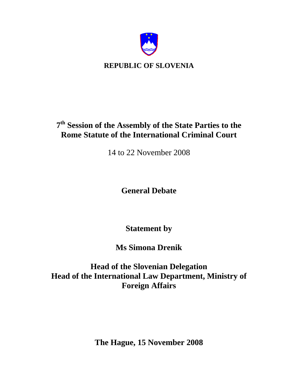

# **7th Session of the Assembly of the State Parties to the Rome Statute of the International Criminal Court**

14 to 22 November 2008

# **General Debate**

**Statement by** 

**Ms Simona Drenik** 

**Head of the Slovenian Delegation Head of the International Law Department, Ministry of Foreign Affairs** 

**The Hague, 15 November 2008**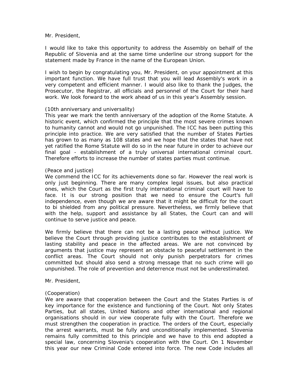# Mr. President,

I would like to take this opportunity to address the Assembly on behalf of the Republic of Slovenia and at the same time underline our strong support for the statement made by France in the name of the European Union.

I wish to begin by congratulating you, Mr. President, on your appointment at this important function. We have full trust that you will lead Assembly's work in a very competent and efficient manner. I would also like to thank the Judges, the Prosecutor, the Registrar, all officials and personnel of the Court for their hard work. We look forward to the work ahead of us in this year's Assembly session.

# *(10th anniversary and universality)*

This year we mark the tenth anniversary of the adoption of the Rome Statute. A historic event, which confirmed the principle that the most severe crimes known to humanity cannot and would not go unpunished. The ICC has been putting this principle into practice. We are very satisfied that the number of States Parties has grown to as many as 108 states and we hope that the states that have not yet ratified the Rome Statute will do so in the near future in order to achieve our final goal - establishment of a truly universal international criminal court. Therefore efforts to increase the number of states parties must continue.

# *(Peace and justice)*

We commend the ICC for its achievements done so far. However the real work is only just beginning. There are many complex legal issues, but also practical ones, which the Court as the first truly international criminal court will have to face. It is our strong position that we need to ensure the Court's full independence, even though we are aware that it might be difficult for the court to bi shielded from any political pressure. Nevertheless, we firmly believe that with the help, support and assistance by all States, the Court can and will continue to serve justice and peace.

We firmly believe that there can not be a lasting peace without justice. We believe the Court through providing justice contributes to the establishment of lasting stability and peace in the affected areas. We are not convinced by arguments that justice may represent an obstacle to peaceful settlement in the conflict areas. The Court should not only punish perpetrators for crimes committed but should also send a strong message that no such crime will go unpunished. The role of prevention and deterrence must not be underestimated.

#### Mr. President,

#### *(Cooperation)*

We are aware that cooperation between the Court and the States Parties is of key importance for the existence and functioning of the Court. Not only States Parties, but all states, United Nations and other international and regional organisations should in our view cooperate fully with the Court. Therefore we must strengthen the cooperation in practice. The orders of the Court, especially the arrest warrants, must be fully and unconditionally implemented. Slovenia remains fully committed to this principle and we have to this end adopted a special law, concerning Slovenia's cooperation with the Court. On 1 November this year our new Criminal Code entered into force. The new Code includes all